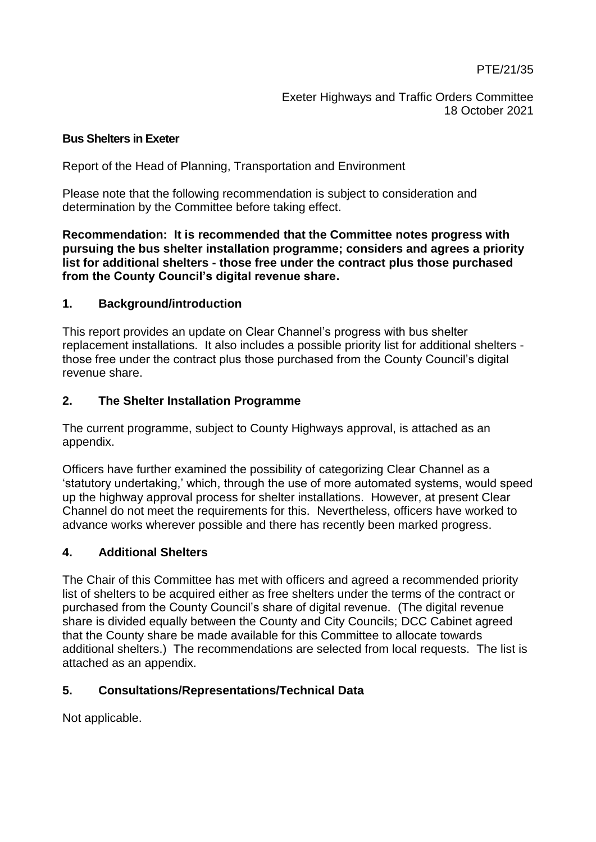Exeter Highways and Traffic Orders Committee 18 October 2021

### **Bus Shelters in Exeter**

Report of the Head of Planning, Transportation and Environment

Please note that the following recommendation is subject to consideration and determination by the Committee before taking effect.

#### **Recommendation: It is recommended that the Committee notes progress with pursuing the bus shelter installation programme; considers and agrees a priority list for additional shelters - those free under the contract plus those purchased from the County Council's digital revenue share.**

### **1. Background/introduction**

This report provides an update on Clear Channel's progress with bus shelter replacement installations. It also includes a possible priority list for additional shelters those free under the contract plus those purchased from the County Council's digital revenue share.

### **2. The Shelter Installation Programme**

The current programme, subject to County Highways approval, is attached as an appendix.

Officers have further examined the possibility of categorizing Clear Channel as a 'statutory undertaking,' which, through the use of more automated systems, would speed up the highway approval process for shelter installations. However, at present Clear Channel do not meet the requirements for this. Nevertheless, officers have worked to advance works wherever possible and there has recently been marked progress.

### **4. Additional Shelters**

The Chair of this Committee has met with officers and agreed a recommended priority list of shelters to be acquired either as free shelters under the terms of the contract or purchased from the County Council's share of digital revenue. (The digital revenue share is divided equally between the County and City Councils; DCC Cabinet agreed that the County share be made available for this Committee to allocate towards additional shelters.) The recommendations are selected from local requests. The list is attached as an appendix.

### **5. Consultations/Representations/Technical Data**

Not applicable.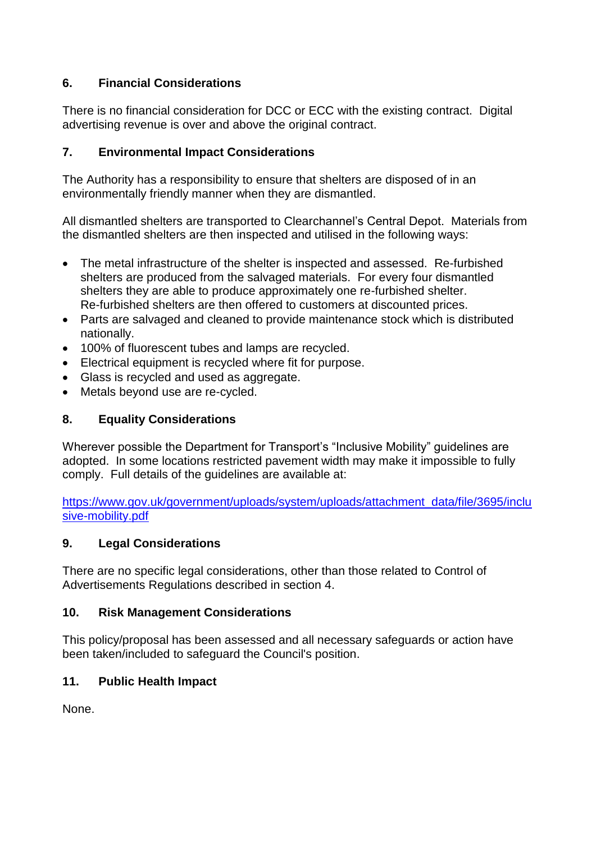## **6. Financial Considerations**

There is no financial consideration for DCC or ECC with the existing contract. Digital advertising revenue is over and above the original contract.

## **7. Environmental Impact Considerations**

The Authority has a responsibility to ensure that shelters are disposed of in an environmentally friendly manner when they are dismantled.

All dismantled shelters are transported to Clearchannel's Central Depot. Materials from the dismantled shelters are then inspected and utilised in the following ways:

- The metal infrastructure of the shelter is inspected and assessed. Re-furbished shelters are produced from the salvaged materials. For every four dismantled shelters they are able to produce approximately one re-furbished shelter. Re-furbished shelters are then offered to customers at discounted prices.
- Parts are salvaged and cleaned to provide maintenance stock which is distributed nationally.
- 100% of fluorescent tubes and lamps are recycled.
- Electrical equipment is recycled where fit for purpose.
- Glass is recycled and used as aggregate.
- Metals beyond use are re-cycled.

# **8. Equality Considerations**

Wherever possible the Department for Transport's "Inclusive Mobility" guidelines are adopted. In some locations restricted pavement width may make it impossible to fully comply. Full details of the guidelines are available at:

[https://www.gov.uk/government/uploads/system/uploads/attachment\\_data/file/3695/inclu](https://www.gov.uk/government/uploads/system/uploads/attachment_data/file/3695/inclusive-mobility.pdf) [sive-mobility.pdf](https://www.gov.uk/government/uploads/system/uploads/attachment_data/file/3695/inclusive-mobility.pdf)

## **9. Legal Considerations**

There are no specific legal considerations, other than those related to Control of Advertisements Regulations described in section 4.

## **10. Risk Management Considerations**

This policy/proposal has been assessed and all necessary safeguards or action have been taken/included to safeguard the Council's position.

## **11. Public Health Impact**

None.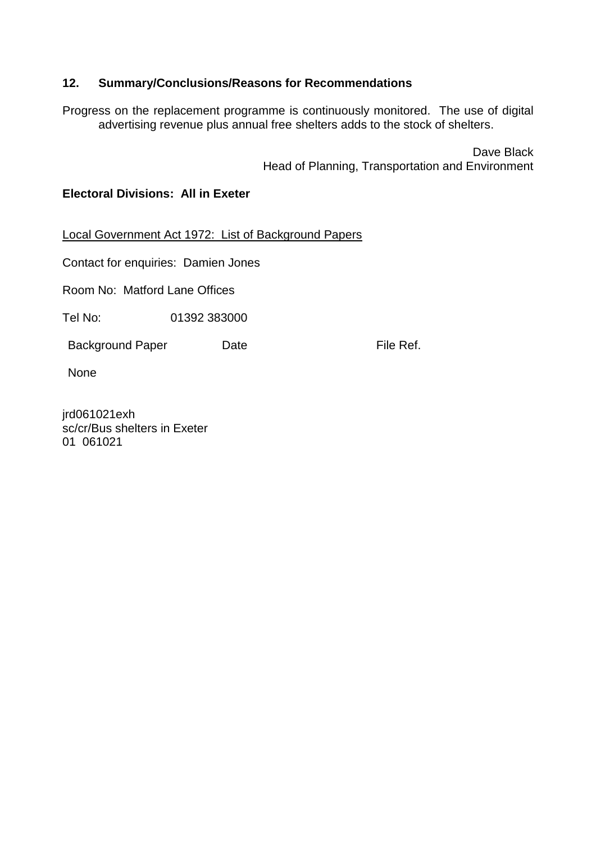## **12. Summary/Conclusions/Reasons for Recommendations**

Progress on the replacement programme is continuously monitored. The use of digital advertising revenue plus annual free shelters adds to the stock of shelters.

> Dave Black Head of Planning, Transportation and Environment

### **Electoral Divisions: All in Exeter**

Local Government Act 1972: List of Background Papers

Contact for enquiries: Damien Jones

Room No: Matford Lane Offices

Tel No: 01392 383000

Background Paper Date **Date** File Ref.

None

jrd061021exh sc/cr/Bus shelters in Exeter 01 061021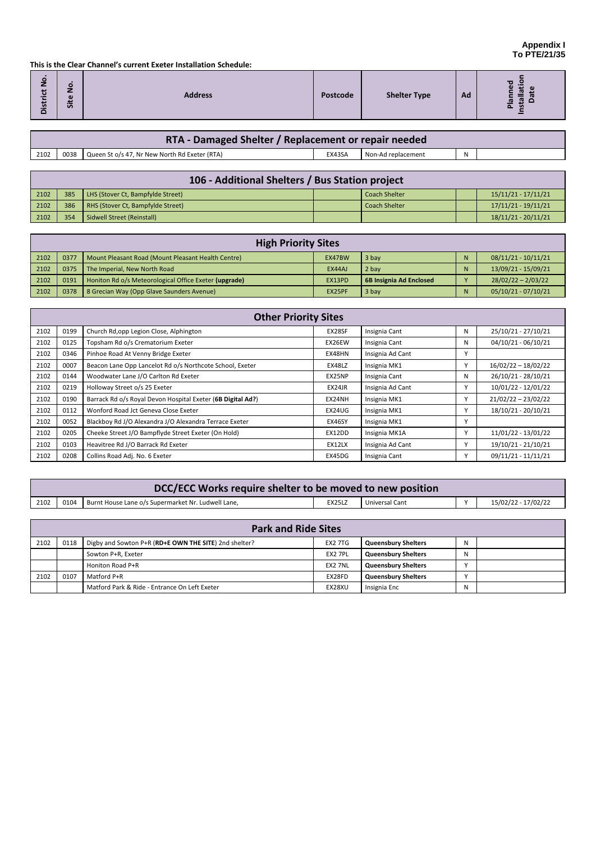**This is the Clear Channel's current Exeter Installation Schedule:**

| RTA - Damaged Shelter / Replacement or repair needed |  |                                                      |        |                    |    |  |  |  |
|------------------------------------------------------|--|------------------------------------------------------|--------|--------------------|----|--|--|--|
| 2102                                                 |  | 0038   Queen St o/s 47, Nr New North Rd Exeter (RTA) | EX43SA | Non-Ad replacement | N. |  |  |  |

| 106 - Additional Shelters / Bus Station project |     |                                   |  |                      |  |                       |  |
|-------------------------------------------------|-----|-----------------------------------|--|----------------------|--|-----------------------|--|
| $2102$                                          | 385 | LHS (Stover Ct, Bampfylde Street) |  | <b>Coach Shelter</b> |  | $15/11/21 - 17/11/21$ |  |
| 2102                                            | 386 | RHS (Stover Ct, Bampfylde Street) |  | <b>Coach Shelter</b> |  | 17/11/21 - 19/11/21   |  |
| 2102                                            | 354 | Sidwell Street (Reinstall)        |  |                      |  | $18/11/21 - 20/11/21$ |  |

| <b>High Priority Sites</b> |      |                                                       |        |                                |    |                       |  |
|----------------------------|------|-------------------------------------------------------|--------|--------------------------------|----|-----------------------|--|
| 2102                       | 0377 | Mount Pleasant Road (Mount Pleasant Health Centre)    | EX47BW | 3 bay                          | N. | $08/11/21 - 10/11/21$ |  |
| $2102$                     | 0375 | The Imperial, New North Road                          | EX44AJ | 2 bay                          |    | 13/09/21 - 15/09/21   |  |
| 2102                       | 0191 | Honiton Rd o/s Meteorological Office Exeter (upgrade) | EX13PD | <b>6B Insignia Ad Enclosed</b> |    | $28/02/22 - 2/03/22$  |  |
| $2102$                     | 0378 | 8 Grecian Way (Opp Glave Saunders Avenue)             | EX25PF | 3 bay                          |    | 05/10/21 - 07/10/21   |  |

| <b>Other Priority Sites</b> |      |                                                             |        |                  |              |                       |  |
|-----------------------------|------|-------------------------------------------------------------|--------|------------------|--------------|-----------------------|--|
| 2102                        | 0199 | Church Rd, opp Legion Close, Alphington                     | EX28SF | Insignia Cant    | N            | 25/10/21 - 27/10/21   |  |
| 2102                        | 0125 | Topsham Rd o/s Crematorium Exeter                           | EX26EW | Insignia Cant    | N            | 04/10/21 - 06/10/21   |  |
| 2102                        | 0346 | Pinhoe Road At Venny Bridge Exeter                          | EX48HN | Insignia Ad Cant | $\mathbf v$  |                       |  |
| 2102                        | 0007 | Beacon Lane Opp Lancelot Rd o/s Northcote School, Exeter    | EX48LZ | Insignia MK1     |              | $16/02/22 - 18/02/22$ |  |
| 2102                        | 0144 | Woodwater Lane J/O Carlton Rd Exeter                        | EX25NP | Insignia Cant    | N            | 26/10/21 - 28/10/21   |  |
| 2102                        | 0219 | Holloway Street o/s 25 Exeter                               | EX24JR | Insignia Ad Cant |              | 10/01/22 - 12/01/22   |  |
| 2102                        | 0190 | Barrack Rd o/s Royal Devon Hospital Exeter (6B Digital Ad?) | EX24NH | Insignia MK1     |              | $21/02/22 - 23/02/22$ |  |
| 2102                        | 0112 | Wonford Road Jct Geneva Close Exeter                        | EX24UG | Insignia MK1     | $\mathbf{v}$ | 18/10/21 - 20/10/21   |  |
| 2102                        | 0052 | Blackboy Rd J/O Alexandra J/O Alexandra Terrace Exeter      | EX46SY | Insignia MK1     |              |                       |  |
| 2102                        | 0205 | Cheeke Street J/O Bampflyde Street Exeter (On Hold)         | EX12DD | Insignia MK1A    |              | 11/01/22 - 13/01/22   |  |
| 2102                        | 0103 | Heavitree Rd J/O Barrack Rd Exeter                          | EX12LX | Insignia Ad Cant |              | 19/10/21 - 21/10/21   |  |
| 2102                        | 0208 | Collins Road Adj. No. 6 Exeter                              | EX45DG | Insignia Cant    |              | 09/11/21 - 11/11/21   |  |

| DCC/ECC Works require shelter to be moved to new position |      |                                                    |               |                |  |                     |  |
|-----------------------------------------------------------|------|----------------------------------------------------|---------------|----------------|--|---------------------|--|
| 2102                                                      | 0104 | Burnt House Lane o/s Supermarket Nr. Ludwell Lane, | <b>EX25LZ</b> | Universal Cant |  | 15/02/22 - 17/02/22 |  |

| <b>Park and Ride Sites</b> |      |                                                       |         |                            |    |  |  |
|----------------------------|------|-------------------------------------------------------|---------|----------------------------|----|--|--|
| 2102                       | 0118 | Digby and Sowton P+R (RD+E OWN THE SITE) 2nd shelter? | EX2 7TG | <b>Queensbury Shelters</b> | N  |  |  |
|                            |      | Sowton P+R, Exeter                                    | EX2 7PL | <b>Queensbury Shelters</b> | N  |  |  |
|                            |      | Honiton Road P+R                                      | EX2 7NL | <b>Queensbury Shelters</b> |    |  |  |
| 2102                       | 0107 | Matford P+R                                           | EX28FD  | <b>Queensbury Shelters</b> |    |  |  |
|                            |      | Matford Park & Ride - Entrance On Left Exeter         | EX28XU  | Insignia Enc               | N. |  |  |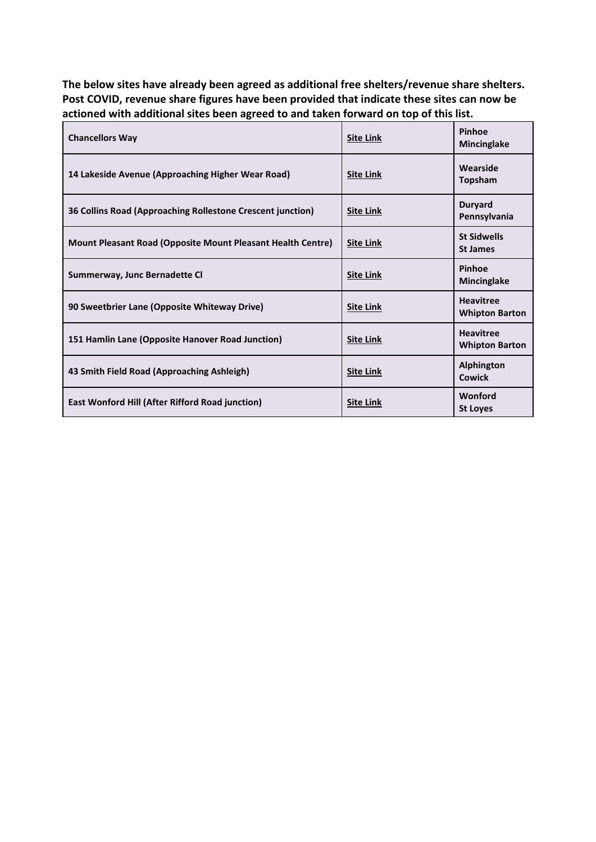**The below sites have already been agreed as additional free shelters/revenue share shelters. Post COVID, revenue share figures have been provided that indicate these sites can now be actioned with additional sites been agreed to and taken forward on top of this list.**

| <b>Chancellors Way</b>                                      | <b>Site Link</b> | Pinhoe<br><b>Mincinglake</b>              |
|-------------------------------------------------------------|------------------|-------------------------------------------|
| 14 Lakeside Avenue (Approaching Higher Wear Road)           | <b>Site Link</b> | Wearside<br><b>Topsham</b>                |
| 36 Collins Road (Approaching Rollestone Crescent junction)  | <b>Site Link</b> | Duryard<br>Pennsylvania                   |
| Mount Pleasant Road (Opposite Mount Pleasant Health Centre) | <b>Site Link</b> | <b>St Sidwells</b><br><b>St James</b>     |
| Summerway, Junc Bernadette Cl                               | <b>Site Link</b> | Pinhoe<br><b>Mincinglake</b>              |
| 90 Sweetbrier Lane (Opposite Whiteway Drive)                | <b>Site Link</b> | <b>Heavitree</b><br><b>Whipton Barton</b> |
| 151 Hamlin Lane (Opposite Hanover Road Junction)            | <b>Site Link</b> | <b>Heavitree</b><br><b>Whipton Barton</b> |
| 43 Smith Field Road (Approaching Ashleigh)                  | <b>Site Link</b> | <b>Alphington</b><br>Cowick               |
| East Wonford Hill (After Rifford Road junction)             | <b>Site Link</b> | Wonford<br><b>St Loves</b>                |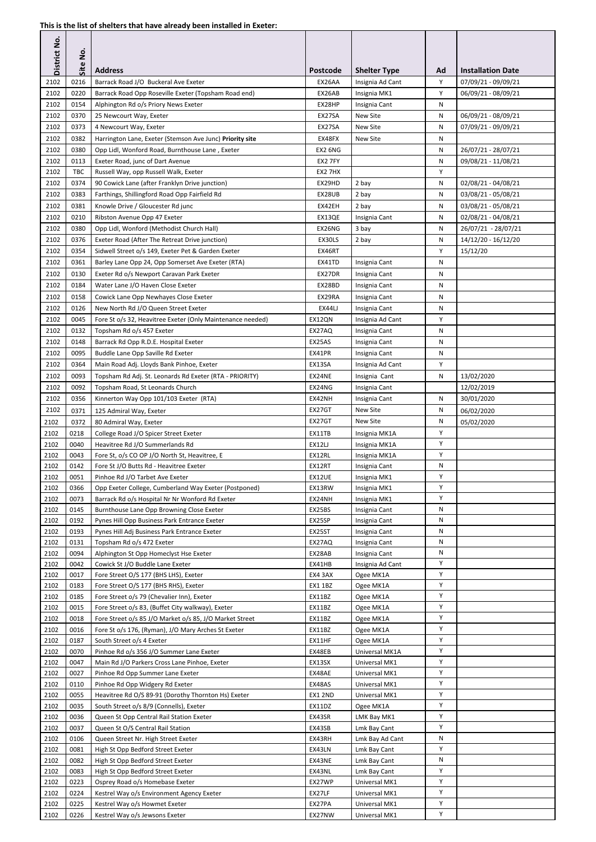| District No. | $\dot{\mathsf{S}}$ |                                                                                                         |                  |                                |        |                          |
|--------------|--------------------|---------------------------------------------------------------------------------------------------------|------------------|--------------------------------|--------|--------------------------|
|              | Site               | <b>Address</b>                                                                                          | <b>Postcode</b>  | <b>Shelter Type</b>            | Ad     | <b>Installation Date</b> |
| 2102         | 0216               | Barrack Road J/O Buckeral Ave Exeter                                                                    | EX26AA           | Insignia Ad Cant               | Y      | 07/09/21 - 09/09/21      |
| 2102         | 0220               | Barrack Road Opp Roseville Exeter (Topsham Road end)                                                    | EX26AB           | Insignia MK1                   | Y      | 06/09/21 - 08/09/21      |
| 2102         | 0154               | Alphington Rd o/s Priory News Exeter                                                                    | EX28HP           | Insignia Cant                  | N      |                          |
| 2102         | 0370               | 25 Newcourt Way, Exeter                                                                                 | EX27SA           | New Site                       | Ν      | 06/09/21 - 08/09/21      |
| 2102         | 0373               | 4 Newcourt Way, Exeter                                                                                  | EX27SA           | New Site                       | N      | 07/09/21 - 09/09/21      |
| 2102         | 0382               | Harrington Lane, Exeter (Stemson Ave Junc) Priority site                                                | EX48FX           | New Site                       | N      |                          |
| 2102         | 0380               | Opp Lidl, Wonford Road, Burnthouse Lane, Exeter                                                         | EX2 6NG          |                                | N      | 26/07/21 - 28/07/21      |
| 2102         | 0113               | Exeter Road, junc of Dart Avenue                                                                        | EX2 7FY          |                                | N      | 09/08/21 - 11/08/21      |
| 2102         | <b>TBC</b>         | Russell Way, opp Russell Walk, Exeter                                                                   | EX2 7HX          |                                | Y      |                          |
| 2102         | 0374               | 90 Cowick Lane (after Franklyn Drive junction)                                                          | EX29HD           | 2 bay                          | Ν      | 02/08/21 - 04/08/21      |
| 2102         | 0383               | Farthings, Shillingford Road Opp Fairfield Rd                                                           | EX28UB           | 2 bay                          | N      | 03/08/21 - 05/08/21      |
| 2102         | 0381               | Knowle Drive / Gloucester Rd junc                                                                       | EX42EH           | 2 bay                          | N      | 03/08/21 - 05/08/21      |
| 2102         | 0210               | Ribston Avenue Opp 47 Exeter                                                                            | EX13QE           | Insignia Cant                  | Ν      | 02/08/21 - 04/08/21      |
| 2102         | 0380               | Opp Lidl, Wonford (Methodist Church Hall)                                                               | EX26NG           | 3 bay                          | N      | 26/07/21 - 28/07/21      |
| 2102         | 0376<br>0354       | Exeter Road (After The Retreat Drive junction)                                                          | EX30LS           | 2 bay                          | N<br>Y | 14/12/20 - 16/12/20      |
| 2102<br>2102 | 0361               | Sidwell Street o/s 149, Exeter Pet & Garden Exeter<br>Barley Lane Opp 24, Opp Somerset Ave Exeter (RTA) | EX46RT<br>EX41TD | Insignia Cant                  | N      | 15/12/20                 |
| 2102         | 0130               | Exeter Rd o/s Newport Caravan Park Exeter                                                               | EX27DR           | Insignia Cant                  | N      |                          |
| 2102         | 0184               | Water Lane J/O Haven Close Exeter                                                                       | EX28BD           | Insignia Cant                  | N      |                          |
| 2102         | 0158               | Cowick Lane Opp Newhayes Close Exeter                                                                   | EX29RA           | Insignia Cant                  | N      |                          |
| 2102         | 0126               | New North Rd J/O Queen Street Exeter                                                                    | EX44LJ           | Insignia Cant                  | N      |                          |
| 2102         | 0045               | Fore St o/s 32, Heavitree Exeter (Only Maintenance needed)                                              | EX12QN           | Insignia Ad Cant               | Υ      |                          |
| 2102         | 0132               | Topsham Rd o/s 457 Exeter                                                                               | EX27AQ           | Insignia Cant                  | N      |                          |
| 2102         | 0148               | Barrack Rd Opp R.D.E. Hospital Exeter                                                                   | EX25AS           | Insignia Cant                  | Ν      |                          |
| 2102         | 0095               | Buddle Lane Opp Saville Rd Exeter                                                                       | EX41PR           | Insignia Cant                  | N      |                          |
| 2102         | 0364               | Main Road Adj. Lloyds Bank Pinhoe, Exeter                                                               | EX13SA           | Insignia Ad Cant               | Y      |                          |
| 2102         | 0093               | Topsham Rd Adj. St. Leonards Rd Exeter (RTA - PRIORITY)                                                 | EX24NE           | Insignia Cant                  | N      | 13/02/2020               |
| 2102         | 0092               | Topsham Road, St Leonards Church                                                                        | EX24NG           | Insignia Cant                  |        | 12/02/2019               |
| 2102         | 0356               | Kinnerton Way Opp 101/103 Exeter (RTA)                                                                  | EX42NH           | Insignia Cant                  | N      | 30/01/2020               |
| 2102         | 0371               | 125 Admiral Way, Exeter                                                                                 | EX27GT           | New Site                       | N      | 06/02/2020               |
| 2102         | 0372               | 80 Admiral Way, Exeter                                                                                  | EX27GT           | New Site                       | N      | 05/02/2020               |
| 2102         | 0218               | College Road J/O Spicer Street Exeter                                                                   | EX11TB           | Insignia MK1A                  | Y      |                          |
| 2102         | 0040               | Heavitree Rd J/O Summerlands Rd                                                                         | EX12LJ           | Insignia MK1A                  | Y      |                          |
| 2102         | 0043               | Fore St, o/s CO OP J/O North St, Heavitree, E                                                           | EX12RL           | Insignia MK1A                  | Υ      |                          |
| 2102         | 0142               | Fore St J/O Butts Rd - Heavitree Exeter                                                                 | EX12RT           | Insignia Cant                  | N      |                          |
| 2102         | 0051               | Pinhoe Rd J/O Tarbet Ave Exeter                                                                         | EX12UE           | Insignia MK1                   | Υ      |                          |
| 2102         | 0366               | Opp Exeter College, Cumberland Way Exeter (Postponed)                                                   | EX13RW           | Insignia MK1                   | Υ      |                          |
| 2102         | 0073               | Barrack Rd o/s Hospital Nr Nr Wonford Rd Exeter                                                         | EX24NH           | Insignia MK1                   | Y      |                          |
| 2102         | 0145               | Burnthouse Lane Opp Browning Close Exeter                                                               | EX25BS           | Insignia Cant                  | N      |                          |
| 2102         | 0192               | Pynes Hill Opp Business Park Entrance Exeter                                                            | EX25SP           | Insignia Cant                  | N      |                          |
| 2102         | 0193               | Pynes Hill Adj Business Park Entrance Exeter                                                            | EX25ST           | Insignia Cant                  | N<br>N |                          |
| 2102<br>2102 | 0131<br>0094       | Topsham Rd o/s 472 Exeter<br>Alphington St Opp Homeclyst Hse Exeter                                     | EX27AQ<br>EX28AB | Insignia Cant<br>Insignia Cant | N      |                          |
| 2102         | 0042               | Cowick St J/O Buddle Lane Exeter                                                                        | EX41HB           | Insignia Ad Cant               | Υ      |                          |
| 2102         | 0017               | Fore Street O/S 177 (BHS LHS), Exeter                                                                   | EX4 3AX          | Ogee MK1A                      | Y      |                          |
| 2102         | 0183               | Fore Street O/S 177 (BHS RHS), Exeter                                                                   | EX11BZ           | Ogee MK1A                      | Υ      |                          |
| 2102         | 0185               | Fore Street o/s 79 (Chevalier Inn), Exeter                                                              | EX11BZ           | Ogee MK1A                      | Υ      |                          |
| 2102         | 0015               | Fore Street o/s 83, (Buffet City walkway), Exeter                                                       | EX11BZ           | Ogee MK1A                      | Υ      |                          |
| 2102         | 0018               | Fore Street o/s 85 J/O Market o/s 85, J/O Market Street                                                 | EX11BZ           | Ogee MK1A                      | Y      |                          |
| 2102         | 0016               | Fore St o/s 176, (Ryman), J/O Mary Arches St Exeter                                                     | EX11BZ           | Ogee MK1A                      | Y      |                          |
| 2102         | 0187               | South Street o/s 4 Exeter                                                                               | EX11HF           | Ogee MK1A                      | Υ      |                          |
| 2102         | 0070               | Pinhoe Rd o/s 356 J/O Summer Lane Exeter                                                                | EX48EB           | Universal MK1A                 | Y      |                          |
| 2102         | 0047               | Main Rd J/O Parkers Cross Lane Pinhoe, Exeter                                                           | EX13SX           | Universal MK1                  | Y      |                          |
| 2102         | 0027               | Pinhoe Rd Opp Summer Lane Exeter                                                                        | EX48AE           | Universal MK1                  | Y      |                          |
| 2102         | 0110               | Pinhoe Rd Opp Widgery Rd Exeter                                                                         | EX48AS           | Universal MK1                  | Y<br>Y |                          |
| 2102         | 0055               | Heavitree Rd O/S 89-91 (Dorothy Thornton Hs) Exeter                                                     | EX1 2ND          | Universal MK1                  | Υ      |                          |
| 2102<br>2102 | 0035<br>0036       | South Street o/s 8/9 (Connells), Exeter<br>Queen St Opp Central Rail Station Exeter                     | EX11DZ<br>EX43SR | Ogee MK1A<br>LMK Bay MK1       | Υ      |                          |
| 2102         | 0037               | Queen St O/S Central Rail Station                                                                       | EX43SB           | Lmk Bay Cant                   | Y      |                          |
| 2102         | 0106               | Queen Street Nr. High Street Exeter                                                                     | EX43RH           | Lmk Bay Ad Cant                | N      |                          |
| 2102         | 0081               | High St Opp Bedford Street Exeter                                                                       | EX43LN           | Lmk Bay Cant                   | Y      |                          |
| 2102         | 0082               | High St Opp Bedford Street Exeter                                                                       | EX43NE           | Lmk Bay Cant                   | N      |                          |
| 2102         | 0083               | High St Opp Bedford Street Exeter                                                                       | EX43NL           | Lmk Bay Cant                   | Y      |                          |
| 2102         | 0223               | Osprey Road o/s Homebase Exeter                                                                         | EX27WP           | Universal MK1                  | Y      |                          |
| 2102         | 0224               | Kestrel Way o/s Environment Agency Exeter                                                               | EX27LF           | Universal MK1                  | Y      |                          |
| 2102         | 0225               | Kestrel Way o/s Howmet Exeter                                                                           | EX27PA           | Universal MK1                  | Y      |                          |
| 2102         | 0226               | Kestrel Way o/s Jewsons Exeter                                                                          | EX27NW           | Universal MK1                  | Υ      |                          |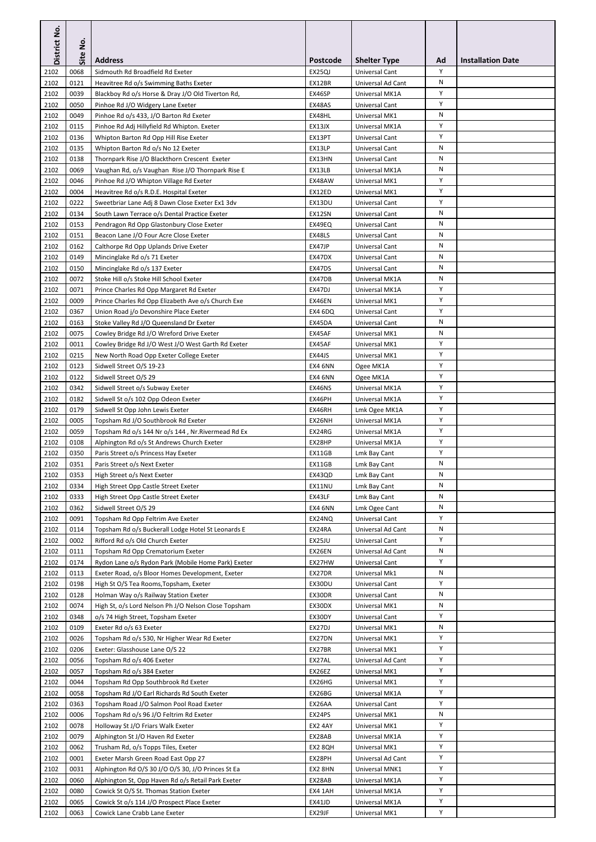| District No. | <u>o</u>     |                                                                                                         |                   |                                  |        |                          |
|--------------|--------------|---------------------------------------------------------------------------------------------------------|-------------------|----------------------------------|--------|--------------------------|
|              | Site         | <b>Address</b>                                                                                          | <b>Postcode</b>   | <b>Shelter Type</b>              | Ad     | <b>Installation Date</b> |
| 2102         | 0068         | Sidmouth Rd Broadfield Rd Exeter                                                                        | EX25QJ            | Universal Cant                   | Y      |                          |
| 2102         | 0121         | Heavitree Rd o/s Swimming Baths Exeter                                                                  | EX12BR            | Universal Ad Cant                | N      |                          |
| 2102<br>2102 | 0039<br>0050 | Blackboy Rd o/s Horse & Dray J/O Old Tiverton Rd,                                                       | EX46SP<br>EX48AS  | Universal MK1A<br>Universal Cant | Y<br>Y |                          |
| 2102         | 0049         | Pinhoe Rd J/O Widgery Lane Exeter<br>Pinhoe Rd o/s 433, J/O Barton Rd Exeter                            | EX48HL            | Universal MK1                    | N      |                          |
| 2102         | 0115         | Pinhoe Rd Adj Hillyfield Rd Whipton. Exeter                                                             | EX13JX            | Universal MK1A                   | Υ      |                          |
| 2102         | 0136         | Whipton Barton Rd Opp Hill Rise Exeter                                                                  | EX13PT            | Universal Cant                   | Y      |                          |
| 2102<br>2102 | 0135<br>0138 | Whipton Barton Rd o/s No 12 Exeter<br>Thornpark Rise J/O Blackthorn Crescent Exeter                     | EX13LP<br>EX13HN  | Universal Cant<br>Universal Cant | Ν<br>N |                          |
| 2102         | 0069         | Vaughan Rd, o/s Vaughan Rise J/O Thornpark Rise E                                                       | EX13LB            | Universal MK1A                   | N      |                          |
| 2102         | 0046         | Pinhoe Rd J/O Whipton Village Rd Exeter                                                                 | EX48AW            | Universal MK1                    | Y      |                          |
| 2102         | 0004         | Heavitree Rd o/s R.D.E. Hospital Exeter                                                                 | EX12ED            | Universal MK1                    | Y      |                          |
| 2102<br>2102 | 0222<br>0134 | Sweetbriar Lane Adj 8 Dawn Close Exeter Ex1 3dv<br>South Lawn Terrace o/s Dental Practice Exeter        | EX13DU<br>EX12SN  | Universal Cant<br>Universal Cant | Y<br>N |                          |
| 2102         | 0153         | Pendragon Rd Opp Glastonbury Close Exeter                                                               | EX49EQ            | Universal Cant                   | Ν      |                          |
| 2102         | 0151         | Beacon Lane J/O Four Acre Close Exeter                                                                  | EX48LS            | Universal Cant                   | N      |                          |
| 2102         | 0162         | Calthorpe Rd Opp Uplands Drive Exeter                                                                   | EX47JP            | Universal Cant                   | N      |                          |
| 2102         | 0149         | Mincinglake Rd o/s 71 Exeter                                                                            | EX47DX            | Universal Cant<br>Universal Cant | N<br>Ν |                          |
| 2102<br>2102 | 0150<br>0072 | Mincinglake Rd o/s 137 Exeter<br>Stoke Hill o/s Stoke Hill School Exeter                                | EX47DS<br>EX47DB  | Universal MK1A                   | N      |                          |
| 2102         | 0071         | Prince Charles Rd Opp Margaret Rd Exeter                                                                | EX47DJ            | Universal MK1A                   | Y      |                          |
| 2102         | 0009         | Prince Charles Rd Opp Elizabeth Ave o/s Church Exe                                                      | EX46EN            | Universal MK1                    | Y      |                          |
| 2102         | 0367         | Union Road j/o Devonshire Place Exeter                                                                  | EX4 6DQ           | Universal Cant                   | Y      |                          |
| 2102<br>2102 | 0163<br>0075 | Stoke Valley Rd J/O Queensland Dr Exeter<br>Cowley Bridge Rd J/O Wreford Drive Exeter                   | EX45DA<br>EX45AF  | Universal Cant<br>Universal MK1  | N<br>N |                          |
| 2102         | 0011         | Cowley Bridge Rd J/O West J/O West Garth Rd Exeter                                                      | EX45AF            | Universal MK1                    | Υ      |                          |
| 2102         | 0215         | New North Road Opp Exeter College Exeter                                                                | EX44JS            | Universal MK1                    | Y      |                          |
| 2102         | 0123         | Sidwell Street O/S 19-23                                                                                | EX4 6NN           | Ogee MK1A                        | Y      |                          |
| 2102<br>2102 | 0122<br>0342 | Sidwell Street O/S 29<br>Sidwell Street o/s Subway Exeter                                               | EX4 6NN<br>EX46NS | Ogee MK1A<br>Universal MK1A      | Υ<br>Y |                          |
| 2102         | 0182         | Sidwell St o/s 102 Opp Odeon Exeter                                                                     | EX46PH            | Universal MK1A                   | Y      |                          |
| 2102         | 0179         | Sidwell St Opp John Lewis Exeter                                                                        | EX46RH            | Lmk Ogee MK1A                    | Y      |                          |
| 2102         | 0005         | Topsham Rd J/O Southbrook Rd Exeter                                                                     | EX26NH            | Universal MK1A                   | Υ      |                          |
| 2102         | 0059         | Topsham Rd o/s 144 Nr o/s 144, Nr. Rivermead Rd Ex                                                      | EX24RG            | Universal MK1A                   | Y<br>Y |                          |
| 2102<br>2102 | 0108<br>0350 | Alphington Rd o/s St Andrews Church Exeter<br>Paris Street o/s Princess Hay Exeter                      | EX28HP<br>EX11GB  | Universal MK1A<br>Lmk Bay Cant   | Υ      |                          |
| 2102         | 0351         | Paris Street o/s Next Exeter                                                                            | EX11GB            | Lmk Bay Cant                     | N      |                          |
| 2102         | 0353         | High Street o/s Next Exeter                                                                             | EX43QD            | Lmk Bay Cant                     | N      |                          |
| 2102         | 0334         | High Street Opp Castle Street Exeter                                                                    | EX11NU            | Lmk Bay Cant                     | N      |                          |
| 2102<br>2102 | 0333<br>0362 | High Street Opp Castle Street Exeter<br>Sidwell Street O/S 29                                           | EX43LF<br>EX4 6NN | Lmk Bay Cant<br>Lmk Ogee Cant    | N<br>N |                          |
| 2102         | 0091         | Topsham Rd Opp Feltrim Ave Exeter                                                                       | EX24NQ            | Universal Cant                   | Y      |                          |
| 2102         | 0114         | Topsham Rd o/s Buckerall Lodge Hotel St Leonards E                                                      | EX24RA            | Universal Ad Cant                | N      |                          |
| 2102         | 0002         | Rifford Rd o/s Old Church Exeter                                                                        | EX25JU            | Universal Cant                   | Y      |                          |
| 2102         | 0111         | Topsham Rd Opp Crematorium Exeter                                                                       | EX26EN            | Universal Ad Cant                | N<br>Y |                          |
| 2102<br>2102 | 0174<br>0113 | Rydon Lane o/s Rydon Park (Mobile Home Park) Exeter<br>Exeter Road, o/s Bloor Homes Development, Exeter | EX27HW<br>EX27DR  | Universal Cant<br>Universal Mk1  | N      |                          |
| 2102         | 0198         | High St O/S Tea Rooms, Topsham, Exeter                                                                  | EX30DU            | Universal Cant                   | Y      |                          |
| 2102         | 0128         | Holman Way o/s Railway Station Exeter                                                                   | EX30DR            | Universal Cant                   | Ν      |                          |
| 2102         | 0074         | High St, o/s Lord Nelson Ph J/O Nelson Close Topsham                                                    | EX30DX            | Universal MK1                    | Ν      |                          |
| 2102<br>2102 | 0348<br>0109 | o/s 74 High Street, Topsham Exeter<br>Exeter Rd o/s 63 Exeter                                           | EX30DY<br>EX27DJ  | Universal Cant<br>Universal MK1  | Y<br>N |                          |
| 2102         | 0026         | Topsham Rd o/s 530, Nr Higher Wear Rd Exeter                                                            | EX27DN            | Universal MK1                    | Y      |                          |
| 2102         | 0206         | Exeter: Glasshouse Lane O/S 22                                                                          | EX27BR            | Universal MK1                    | Y      |                          |
| 2102         | 0056         | Topsham Rd o/s 406 Exeter                                                                               | EX27AL            | Universal Ad Cant                | Y      |                          |
| 2102<br>2102 | 0057<br>0044 | Topsham Rd o/s 384 Exeter<br>Topsham Rd Opp Southbrook Rd Exeter                                        | EX26EZ<br>EX26HG  | Universal MK1<br>Universal MK1   | Υ<br>Y |                          |
| 2102         | 0058         | Topsham Rd J/O Earl Richards Rd South Exeter                                                            | EX26BG            | Universal MK1A                   | Y      |                          |
| 2102         | 0363         | Topsham Road J/O Salmon Pool Road Exeter                                                                | EX26AA            | Universal Cant                   | Y      |                          |
| 2102         | 0006         | Topsham Rd o/s 96 J/O Feltrim Rd Exeter                                                                 | EX24PS            | Universal MK1                    | N      |                          |
| 2102         | 0078         | Holloway St J/O Friars Walk Exeter                                                                      | EX2 4AY           | Universal MK1                    | Y      |                          |
| 2102<br>2102 | 0079<br>0062 | Alphington St J/O Haven Rd Exeter<br>Trusham Rd, o/s Topps Tiles, Exeter                                | EX28AB<br>EX2 8QH | Universal MK1A<br>Universal MK1  | Y<br>Υ |                          |
| 2102         | 0001         | Exeter Marsh Green Road East Opp 27                                                                     | EX28PH            | Universal Ad Cant                | Y      |                          |
| 2102         | 0031         | Alphington Rd O/S 30 J/O O/S 30, J/O Princes St Ea                                                      | EX2 8HN           | Universal MNK1                   | Y      |                          |
| 2102         | 0060         | Alphington St, Opp Haven Rd o/s Retail Park Exeter                                                      | EX28AB            | Universal MK1A                   | Y      |                          |
| 2102<br>2102 | 0080<br>0065 | Cowick St O/S St. Thomas Station Exeter<br>Cowick St o/s 114 J/O Prospect Place Exeter                  | EX4 1AH<br>EX41JD | Universal MK1A<br>Universal MK1A | Y<br>Υ |                          |
| 2102         | 0063         | Cowick Lane Crabb Lane Exeter                                                                           | EX29JF            | Universal MK1                    | Y      |                          |